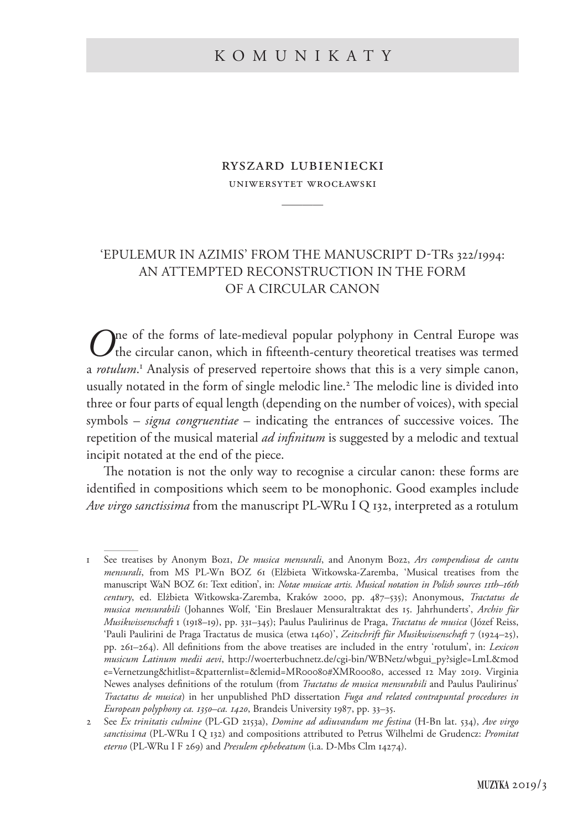# ryszard lubieniecki

uniwersytet wrocławski ————

# 'Epulemur in azimis' from the manuscript D-TRs 322/1994: an attempted reconstruction in the form of a circular canon

One of the forms of late-medieval popular polyphony in Central Europe was the circular canon, which in fifteenth-century theoretical treatises was termed a *rotulum*. <sup>1</sup> Analysis of preserved repertoire shows that this is a very simple canon, usually notated in the form of single melodic line.<sup>2</sup> The melodic line is divided into three or four parts of equal length (depending on the number of voices), with special symbols – *signa congruentiae* – indicating the entrances of successive voices. The repetition of the musical material *ad infinitum* is suggested by a melodic and textual incipit notated at the end of the piece.

The notation is not the only way to recognise a circular canon: these forms are identified in compositions which seem to be monophonic. Good examples include *Ave virgo sanctissima* from the manuscript PL-WRu I Q 132, interpreted as a rotulum

<sup>1</sup> See treatises by Anonym Boz1, *De musica mensurali*, and Anonym Boz2, *Ars compendiosa de cantu mensurali*, from MS PL-Wn BOZ 61 (Elżbieta Witkowska-Zaremba, 'Musical treatises from the manuscript WaN BOZ 61: Text edition', in: *Notae musicae artis. Musical notation in Polish sources 11th–16th century*, ed. Elżbieta Witkowska-Zaremba, Kraków 2000, pp. 487–535); Anonymous, *Tractatus de musica mensurabili* (Johannes Wolf, 'Ein Breslauer Mensuraltraktat des 15. Jahrhunderts', *Archiv für Musikwissenschaft* 1 (1918–19), pp. 331–345); Paulus Paulirinus de Praga, *Tractatus de musica* (Józef Reiss, 'Pauli Paulirini de Praga Tractatus de musica (etwa 1460)', *Zeitschrift für Musikwissenschaft* 7 (1924–25), pp. 261–264). All definitions from the above treatises are included in the entry 'rotulum', in: *Lexicon musicum Latinum medii aevi*, http://woerterbuchnetz.de/cgi-bin/WBNetz/wbgui\_py?sigle=LmL&mod e=Vernetzung&hitlist=&patternlist=&lemid=MR00080#XMR00080, accessed 12 May 2019. Virginia Newes analyses definitions of the rotulum (from *Tractatus de musica mensurabili* and Paulus Paulirinus' *Tractatus de musica*) in her unpublished PhD dissertation *Fuga and related contrapuntal procedures in European polyphony ca. 1350–ca. 1420*, Brandeis University 1987, pp. 33–35.

<sup>2</sup> See *Ex trinitatis culmine* (PL-GD 2153a), *Domine ad adiuvandum me festina* (H-Bn lat. 534), *Ave virgo sanctissima* (PL-WRu I Q 132) and compositions attributed to Petrus Wilhelmi de Grudencz: *Promitat eterno* (PL-WRu I F 269) and *Presulem ephebeatum* (i.a. D-Mbs Clm 14274).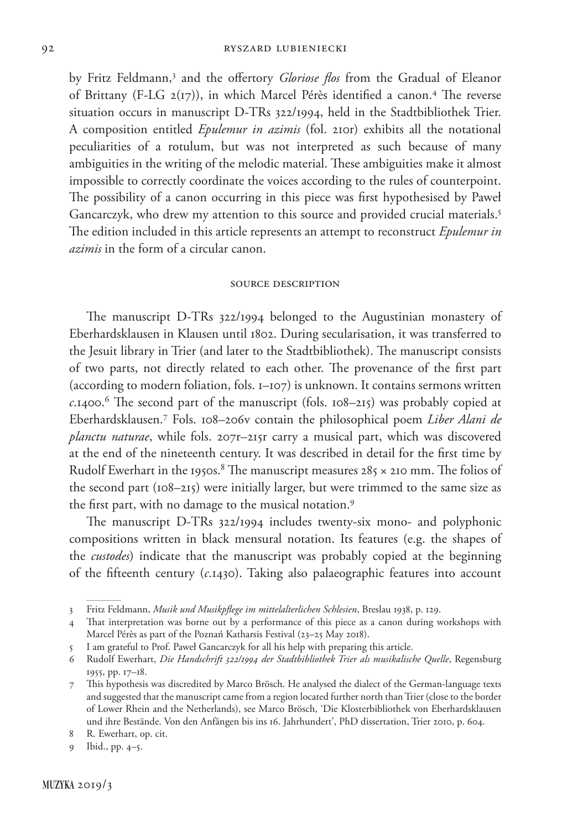by Fritz Feldmann,3 and the offertory *Gloriose flos* from the Gradual of Eleanor of Brittany (F-LG 2(17)), in which Marcel Pérès identified a canon.4 The reverse situation occurs in manuscript D-TRs 322/1994, held in the Stadtbibliothek Trier. A composition entitled *Epulemur in azimis* (fol. 210r) exhibits all the notational peculiarities of a rotulum, but was not interpreted as such because of many ambiguities in the writing of the melodic material. These ambiguities make it almost impossible to correctly coordinate the voices according to the rules of counterpoint. The possibility of a canon occurring in this piece was first hypothesised by Paweł Gancarczyk, who drew my attention to this source and provided crucial materials.<sup>5</sup> The edition included in this article represents an attempt to reconstruct *Epulemur in azimis* in the form of a circular canon.

### source description

The manuscript D-TRs 322/1994 belonged to the Augustinian monastery of Eberhardsklausen in Klausen until 1802. During secularisation, it was transferred to the Jesuit library in Trier (and later to the Stadtbibliothek). The manuscript consists of two parts, not directly related to each other. The provenance of the first part (according to modern foliation, fols. 1–107) is unknown. It contains sermons written *c*.1400.6 The second part of the manuscript (fols. 108–215) was probably copied at Eberhardsklausen.7 Fols. 108–206v contain the philosophical poem *Liber Alani de planctu naturae*, while fols. 207r–215r carry a musical part, which was discovered at the end of the nineteenth century. It was described in detail for the first time by Rudolf Ewerhart in the 1950s. $^8$  The manuscript measures 285  $\times$  210 mm. The folios of the second part (108–215) were initially larger, but were trimmed to the same size as the first part, with no damage to the musical notation.<sup>9</sup>

The manuscript D-TRs 322/1994 includes twenty-six mono- and polyphonic compositions written in black mensural notation. Its features (e.g. the shapes of the *custodes*) indicate that the manuscript was probably copied at the beginning of the fifteenth century (*c*.1430). Taking also palaeographic features into account

<sup>3</sup> Fritz Feldmann, *Musik und Musikpflege im mittelalterlichen Schlesien*, Breslau 1938, p. 129.

<sup>4</sup> That interpretation was borne out by a performance of this piece as a canon during workshops with Marcel Pérès as part of the Poznań Katharsis Festival (23–25 May 2018).

<sup>5</sup> I am grateful to Prof. Paweł Gancarczyk for all his help with preparing this article.

<sup>6</sup> Rudolf Ewerhart, *Die Handschrift 322/1994 der Stadtbibliothek Trier als musikalische Quelle*, Regensburg 1955, pp. 17–18.

<sup>7</sup> This hypothesis was discredited by Marco Brösch. He analysed the dialect of the German-language texts and suggested that the manuscript came from a region located further north than Trier (close to the border of Lower Rhein and the Netherlands), see Marco Brösch, 'Die Klosterbibliothek von Eberhardsklausen und ihre Bestände. Von den Anfängen bis ins 16. Jahrhundert', PhD dissertation, Trier 2010, p. 604.

<sup>8</sup> R. Ewerhart, op. cit.

<sup>9</sup> Ibid., pp. 4–5.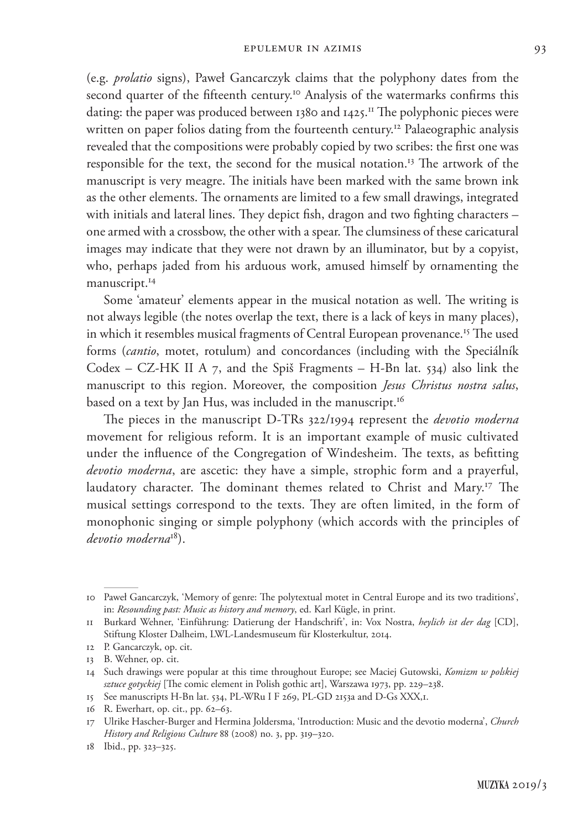(e.g. *prolatio* signs), Paweł Gancarczyk claims that the polyphony dates from the second quarter of the fifteenth century.<sup>10</sup> Analysis of the watermarks confirms this dating: the paper was produced between 1380 and 1425.<sup>11</sup> The polyphonic pieces were written on paper folios dating from the fourteenth century.<sup>12</sup> Palaeographic analysis revealed that the compositions were probably copied by two scribes: the first one was responsible for the text, the second for the musical notation.13 The artwork of the manuscript is very meagre. The initials have been marked with the same brown ink as the other elements. The ornaments are limited to a few small drawings, integrated with initials and lateral lines. They depict fish, dragon and two fighting characters – one armed with a crossbow, the other with a spear. The clumsiness of these caricatural images may indicate that they were not drawn by an illuminator, but by a copyist, who, perhaps jaded from his arduous work, amused himself by ornamenting the manuscript.<sup>14</sup>

Some 'amateur' elements appear in the musical notation as well. The writing is not always legible (the notes overlap the text, there is a lack of keys in many places), in which it resembles musical fragments of Central European provenance.<sup>15</sup> The used forms (*cantio*, motet, rotulum) and concordances (including with the Speciálník Codex – CZ-HK II A  $7$ , and the Spiš Fragments – H-Bn lat. 534) also link the manuscript to this region. Moreover, the composition *Jesus Christus nostra salus*, based on a text by Jan Hus, was included in the manuscript.<sup>16</sup>

The pieces in the manuscript D-TRs 322/1994 represent the *devotio moderna* movement for religious reform. It is an important example of music cultivated under the influence of the Congregation of Windesheim. The texts, as befitting *devotio moderna*, are ascetic: they have a simple, strophic form and a prayerful, laudatory character. The dominant themes related to Christ and Mary.17 The musical settings correspond to the texts. They are often limited, in the form of monophonic singing or simple polyphony (which accords with the principles of *devotio moderna*18).

<sup>10</sup> Paweł Gancarczyk, 'Memory of genre: The polytextual motet in Central Europe and its two traditions', in: *Resounding past: Music as history and memory*, ed. Karl Kügle, in print.

<sup>11</sup> Burkard Wehner, 'Einführung: Datierung der Handschrift', in: Vox Nostra, *heylich ist der dag* [CD], Stiftung Kloster Dalheim, LWL-Landesmuseum für Klosterkultur, 2014.

<sup>12</sup> P. Gancarczyk, op. cit.

<sup>13</sup> B. Wehner, op. cit.

<sup>14</sup> Such drawings were popular at this time throughout Europe; see Maciej Gutowski, *Komizm w polskiej sztuce gotyckiej* [The comic element in Polish gothic art], Warszawa 1973, pp. 229–238.

<sup>15</sup> See manuscripts H-Bn lat. 534, PL-WRu I F 269, PL-GD 2153a and D-Gs XXX,1.

<sup>16</sup> R. Ewerhart, op. cit., pp. 62–63.

<sup>17</sup> Ulrike Hascher-Burger and Hermina Joldersma, 'Introduction: Music and the devotio moderna', *Church History and Religious Culture* 88 (2008) no. 3, pp. 319–320.

<sup>18</sup> Ibid., pp. 323–325.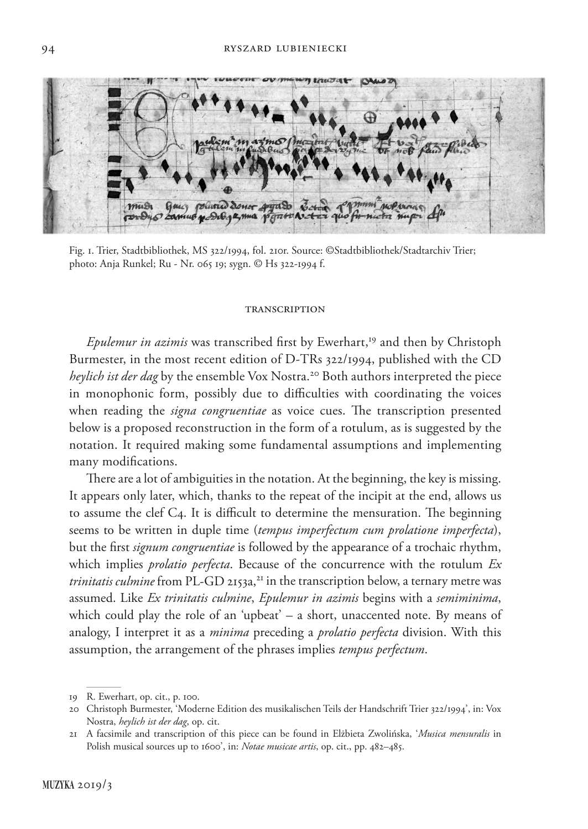**HOLLOW** musi Guy polario donor anguso Ecto Promin noPrior nutre M

Fig. 1. Trier, Stadtbibliothek, MS 322/1994, fol. 210r. Source: ©Stadtbibliothek/Stadtarchiv Trier; photo: Anja Runkel; Ru - Nr. 065 19; sygn. © Hs 322-1994 f.

#### **TRANSCRIPTION**

*Epulemur in azimis* was transcribed first by Ewerhart,<sup>19</sup> and then by Christoph Burmester, in the most recent edition of D-TRs 322/1994, published with the CD *heylich ist der dag* by the ensemble Vox Nostra.<sup>20</sup> Both authors interpreted the piece in monophonic form, possibly due to difficulties with coordinating the voices when reading the *signa congruentiae* as voice cues. The transcription presented below is a proposed reconstruction in the form of a rotulum, as is suggested by the notation. It required making some fundamental assumptions and implementing many modifications.

There are a lot of ambiguities in the notation. At the beginning, the key is missing. It appears only later, which, thanks to the repeat of the incipit at the end, allows us to assume the clef C4. It is difficult to determine the mensuration. The beginning seems to be written in duple time (*tempus imperfectum cum prolatione imperfecta*), but the first *signum congruentiae* is followed by the appearance of a trochaic rhythm, which implies *prolatio perfecta*. Because of the concurrence with the rotulum *Ex trinitatis culmine* from PL-GD 2153a,<sup>21</sup> in the transcription below, a ternary metre was assumed. Like *Ex trinitatis culmine*, *Epulemur in azimis* begins with a *semiminima*, which could play the role of an 'upbeat' – a short, unaccented note. By means of analogy, I interpret it as a *minima* preceding a *prolatio perfecta* division. With this assumption, the arrangement of the phrases implies *tempus perfectum*.

<sup>19</sup> R. Ewerhart, op. cit., p. 100.

<sup>20</sup> Christoph Burmester, 'Moderne Edition des musikalischen Teils der Handschrift Trier 322/1994', in: Vox Nostra, *heylich ist der dag*, op. cit.

<sup>21</sup> A facsimile and transcription of this piece can be found in Elżbieta Zwolińska, '*Musica mensuralis* in Polish musical sources up to 1600', in: *Notae musicae artis*, op. cit., pp. 482–485.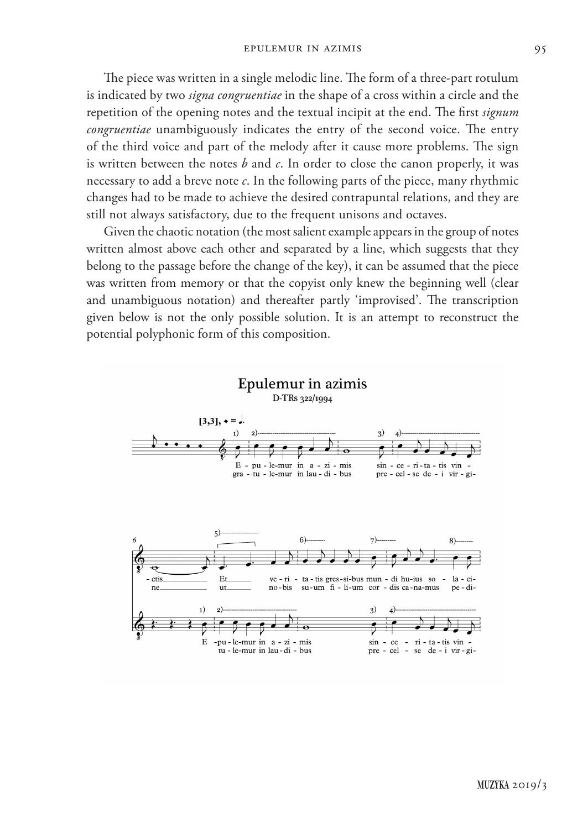The piece was written in a single melodic line. The form of a three-part rotulum is indicated by two *signa congruentiae* in the shape of a cross within a circle and the repetition of the opening notes and the textual incipit at the end. The first *signum congruentiae* unambiguously indicates the entry of the second voice. The entry of the third voice and part of the melody after it cause more problems. The sign is written between the notes *b* and *c*. In order to close the canon properly, it was necessary to add a breve note *c*. In the following parts of the piece, many rhythmic changes had to be made to achieve the desired contrapuntal relations, and they are still not always satisfactory, due to the frequent unisons and octaves.

Given the chaotic notation (the most salient example appears in the group of notes written almost above each other and separated by a line, which suggests that they belong to the passage before the change of the key), it can be assumed that the piece was written from memory or that the copyist only knew the beginning well (clear and unambiguous notation) and thereafter partly 'improvised'. The transcription given below is not the only possible solution. It is an attempt to reconstruct the potential polyphonic form of this composition.

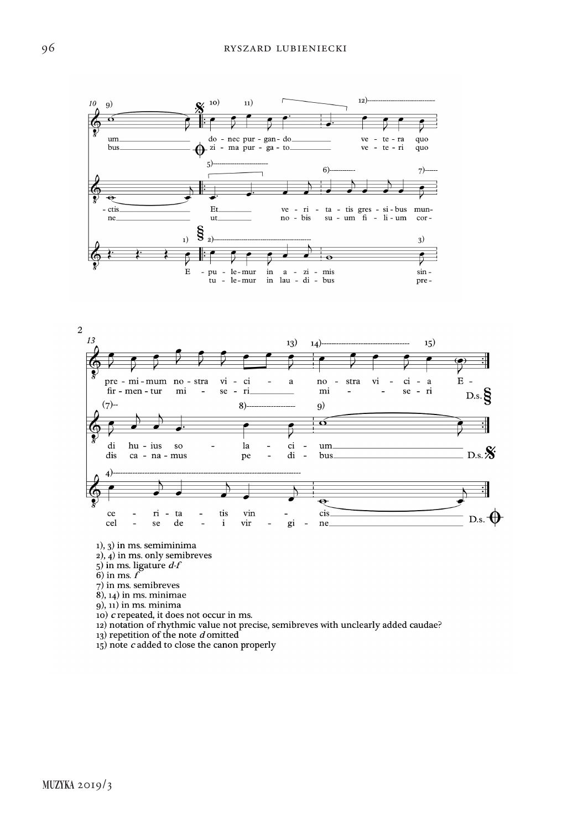



 $1, 3$ ) in ms. semiminima

 $2$ ),  $4$ ) in ms. only semibreves

 $5$ ) in ms. ligature  $d-f$ 

 $6)$  in ms.  $f$ 

7) in ms. semibreves

 $(8)$ ,  $14)$  in ms. minimae

 $(9)$ ,  $(1)$  in ms. minima

10) c repeated, it does not occur in ms.

12) notation of rhythmic value not precise, semibreves with unclearly added caudae?

13) repetition of the note d omitted

 $15)$  note  $c$  added to close the canon properly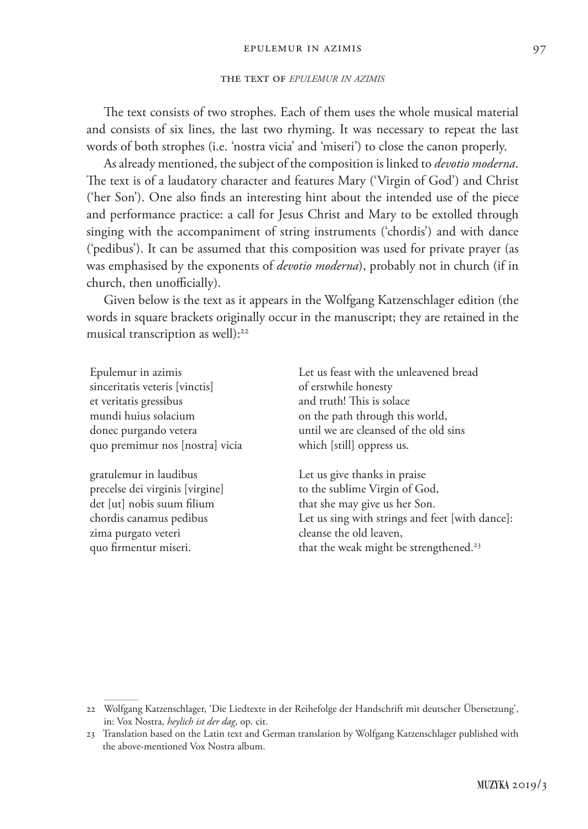### the text of *epulemur in azimis*

The text consists of two strophes. Each of them uses the whole musical material and consists of six lines, the last two rhyming. It was necessary to repeat the last words of both strophes (i.e. 'nostra vicia' and 'miseri') to close the canon properly.

As already mentioned, the subject of the composition is linked to *devotio moderna*. The text is of a laudatory character and features Mary ('Virgin of God') and Christ ('her Son'). One also finds an interesting hint about the intended use of the piece and performance practice: a call for Jesus Christ and Mary to be extolled through singing with the accompaniment of string instruments ('chordis') and with dance ('pedibus'). It can be assumed that this composition was used for private prayer (as was emphasised by the exponents of *devotio moderna*), probably not in church (if in church, then unofficially).

Given below is the text as it appears in the Wolfgang Katzenschlager edition (the words in square brackets originally occur in the manuscript; they are retained in the musical transcription as well):<sup>22</sup>

Epulemur in azimis sinceritatis veteris [vinctis] et veritatis gressibus mundi huius solacium donec purgando vetera quo premimur nos [nostra] vicia

gratulemur in laudibus precelse dei virginis [virgine] det [ut] nobis suum filium chordis canamus pedibus zima purgato veteri quo firmentur miseri.

Let us feast with the unleavened bread of erstwhile honesty and truth! This is solace on the path through this world, until we are cleansed of the old sins which [still] oppress us.

Let us give thanks in praise to the sublime Virgin of God, that she may give us her Son. Let us sing with strings and feet [with dance]: cleanse the old leaven, that the weak might be strengthened.<sup>23</sup>

<sup>22</sup> Wolfgang Katzenschlager, 'Die Liedtexte in der Reihefolge der Handschrift mit deutscher Übersetzung', in: Vox Nostra, *heylich ist der dag*, op. cit.

<sup>23</sup> Translation based on the Latin text and German translation by Wolfgang Katzenschlager published with the above-mentioned Vox Nostra album.